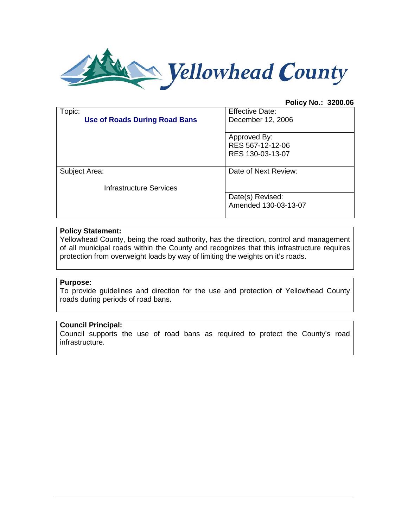

## **Policy No.: 3200.06**

| Topic:<br><b>Use of Roads During Road Bans</b> | <b>Effective Date:</b><br>December 12, 2006          |
|------------------------------------------------|------------------------------------------------------|
|                                                | Approved By:<br>RES 567-12-12-06<br>RES 130-03-13-07 |
| Subject Area:                                  | Date of Next Review:                                 |
| <b>Infrastructure Services</b>                 |                                                      |
|                                                | Date(s) Revised:<br>Amended 130-03-13-07             |

# **Policy Statement:**

Yellowhead County, being the road authority, has the direction, control and management of all municipal roads within the County and recognizes that this infrastructure requires protection from overweight loads by way of limiting the weights on it's roads.

# **Purpose:**

To provide guidelines and direction for the use and protection of Yellowhead County roads during periods of road bans.

### **Council Principal:**

Council supports the use of road bans as required to protect the County's road infrastructure.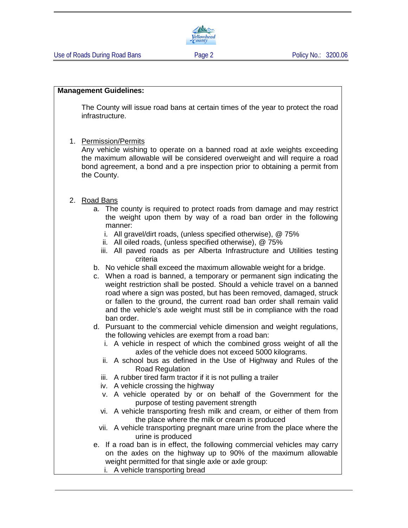#### **Management Guidelines:**

The County will issue road bans at certain times of the year to protect the road infrastructure.

1. Permission/Permits

Any vehicle wishing to operate on a banned road at axle weights exceeding the maximum allowable will be considered overweight and will require a road bond agreement, a bond and a pre inspection prior to obtaining a permit from the County.

### 2. Road Bans

- a. The county is required to protect roads from damage and may restrict the weight upon them by way of a road ban order in the following manner:
	- i. All gravel/dirt roads, (unless specified otherwise), @ 75%
	- ii. All oiled roads, (unless specified otherwise), @ 75%
	- iii. All paved roads as per Alberta Infrastructure and Utilities testing criteria
- b. No vehicle shall exceed the maximum allowable weight for a bridge.
- c. When a road is banned, a temporary or permanent sign indicating the weight restriction shall be posted. Should a vehicle travel on a banned road where a sign was posted, but has been removed, damaged, struck or fallen to the ground, the current road ban order shall remain valid and the vehicle's axle weight must still be in compliance with the road ban order.
- d. Pursuant to the commercial vehicle dimension and weight regulations, the following vehicles are exempt from a road ban:
	- i. A vehicle in respect of which the combined gross weight of all the axles of the vehicle does not exceed 5000 kilograms.
	- ii. A school bus as defined in the Use of Highway and Rules of the Road Regulation
	- iii. A rubber tired farm tractor if it is not pulling a trailer
	- iv. A vehicle crossing the highway
	- v. A vehicle operated by or on behalf of the Government for the purpose of testing pavement strength
	- vi. A vehicle transporting fresh milk and cream, or either of them from the place where the milk or cream is produced
	- vii. A vehicle transporting pregnant mare urine from the place where the urine is produced
- e. If a road ban is in effect, the following commercial vehicles may carry on the axles on the highway up to 90% of the maximum allowable weight permitted for that single axle or axle group:
	- i. A vehicle transporting bread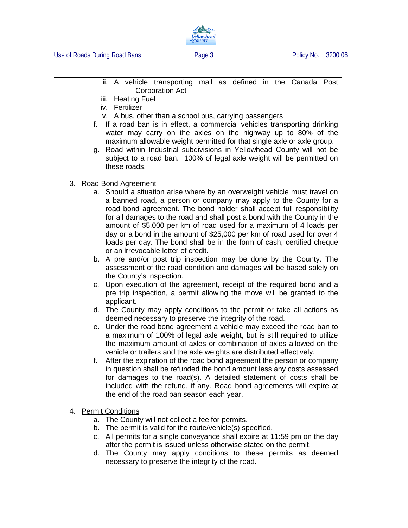

Use of Roads During Road Bans **Page 3** Page 3 Policy No.: 3200.06

- ii. A vehicle transporting mail as defined in the Canada Post Corporation Act
- iii. Heating Fuel
- iv. Fertilizer
- v. A bus, other than a school bus, carrying passengers
- f. If a road ban is in effect, a commercial vehicles transporting drinking water may carry on the axles on the highway up to 80% of the maximum allowable weight permitted for that single axle or axle group.
- g. Road within Industrial subdivisions in Yellowhead County will not be subject to a road ban. 100% of legal axle weight will be permitted on these roads.
- 3. Road Bond Agreement
	- a. Should a situation arise where by an overweight vehicle must travel on a banned road, a person or company may apply to the County for a road bond agreement. The bond holder shall accept full responsibility for all damages to the road and shall post a bond with the County in the amount of \$5,000 per km of road used for a maximum of 4 loads per day or a bond in the amount of \$25,000 per km of road used for over 4 loads per day. The bond shall be in the form of cash, certified cheque or an irrevocable letter of credit.
	- b. A pre and/or post trip inspection may be done by the County. The assessment of the road condition and damages will be based solely on the County's inspection.
	- c. Upon execution of the agreement, receipt of the required bond and a pre trip inspection, a permit allowing the move will be granted to the applicant.
	- d. The County may apply conditions to the permit or take all actions as deemed necessary to preserve the integrity of the road.
	- e. Under the road bond agreement a vehicle may exceed the road ban to a maximum of 100% of legal axle weight, but is still required to utilize the maximum amount of axles or combination of axles allowed on the vehicle or trailers and the axle weights are distributed effectively.
	- f. After the expiration of the road bond agreement the person or company in question shall be refunded the bond amount less any costs assessed for damages to the road(s). A detailed statement of costs shall be included with the refund, if any. Road bond agreements will expire at the end of the road ban season each year.
- 4. Permit Conditions
	- a. The County will not collect a fee for permits.
	- b. The permit is valid for the route/vehicle(s) specified.
	- c. All permits for a single conveyance shall expire at 11:59 pm on the day after the permit is issued unless otherwise stated on the permit.
	- d. The County may apply conditions to these permits as deemed necessary to preserve the integrity of the road.